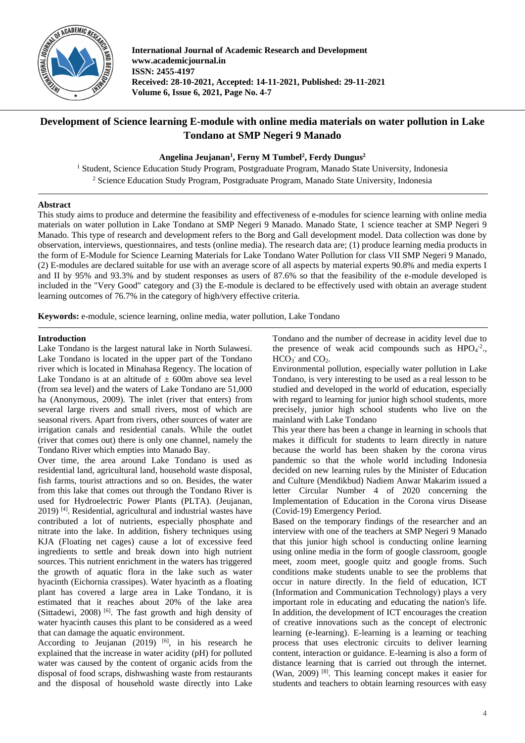

**International Journal of Academic Research and Development www.academicjournal.in ISSN: 2455-4197 Received: 28-10-2021, Accepted: 14-11-2021, Published: 29-11-2021 Volume 6, Issue 6, 2021, Page No. 4-7**

# **Development of Science learning E-module with online media materials on water pollution in Lake Tondano at SMP Negeri 9 Manado**

# **Angelina Jeujanan<sup>1</sup> , Ferny M Tumbel<sup>2</sup> , Ferdy Dungus<sup>2</sup>**

<sup>1</sup> Student, Science Education Study Program, Postgraduate Program, Manado State University, Indonesia <sup>2</sup> Science Education Study Program, Postgraduate Program, Manado State University, Indonesia

# **Abstract**

This study aims to produce and determine the feasibility and effectiveness of e-modules for science learning with online media materials on water pollution in Lake Tondano at SMP Negeri 9 Manado. Manado State, 1 science teacher at SMP Negeri 9 Manado. This type of research and development refers to the Borg and Gall development model. Data collection was done by observation, interviews, questionnaires, and tests (online media). The research data are; (1) produce learning media products in the form of E-Module for Science Learning Materials for Lake Tondano Water Pollution for class VII SMP Negeri 9 Manado, (2) E-modules are declared suitable for use with an average score of all aspects by material experts 90.8% and media experts I and II by 95% and 93.3% and by student responses as users of 87.6% so that the feasibility of the e-module developed is included in the "Very Good" category and (3) the E-module is declared to be effectively used with obtain an average student learning outcomes of 76.7% in the category of high/very effective criteria.

**Keywords:** e-module, science learning, online media, water pollution, Lake Tondano

#### **Introduction**

Lake Tondano is the largest natural lake in North Sulawesi. Lake Tondano is located in the upper part of the Tondano river which is located in Minahasa Regency. The location of Lake Tondano is at an altitude of  $\pm$  600m above sea level (from sea level) and the waters of Lake Tondano are 51,000 ha (Anonymous, 2009). The inlet (river that enters) from several large rivers and small rivers, most of which are seasonal rivers. Apart from rivers, other sources of water are irrigation canals and residential canals. While the outlet (river that comes out) there is only one channel, namely the Tondano River which empties into Manado Bay.

Over time, the area around Lake Tondano is used as residential land, agricultural land, household waste disposal, fish farms, tourist attractions and so on. Besides, the water from this lake that comes out through the Tondano River is used for Hydroelectric Power Plants (PLTA). (Jeujanan, 2019) [4] . Residential, agricultural and industrial wastes have contributed a lot of nutrients, especially phosphate and nitrate into the lake. In addition, fishery techniques using KJA (Floating net cages) cause a lot of excessive feed ingredients to settle and break down into high nutrient sources. This nutrient enrichment in the waters has triggered the growth of aquatic flora in the lake such as water hyacinth (Eichornia crassipes). Water hyacinth as a floating plant has covered a large area in Lake Tondano, it is estimated that it reaches about 20% of the lake area (Sittadewi, 2008)<sup>[6]</sup>. The fast growth and high density of water hyacinth causes this plant to be considered as a weed that can damage the aquatic environment.

According to Jeujanan  $(2019)$  <sup>[6]</sup>, in his research he explained that the increase in water acidity (pH) for polluted water was caused by the content of organic acids from the disposal of food scraps, dishwashing waste from restaurants and the disposal of household waste directly into Lake

Tondano and the number of decrease in acidity level due to the presence of weak acid compounds such as  $HPO<sub>4</sub><sup>-2</sup>$ .,  $HCO<sub>3</sub>$  and  $CO<sub>2</sub>$ .

Environmental pollution, especially water pollution in Lake Tondano, is very interesting to be used as a real lesson to be studied and developed in the world of education, especially with regard to learning for junior high school students, more precisely, junior high school students who live on the mainland with Lake Tondano

This year there has been a change in learning in schools that makes it difficult for students to learn directly in nature because the world has been shaken by the corona virus pandemic so that the whole world including Indonesia decided on new learning rules by the Minister of Education and Culture (Mendikbud) Nadiem Anwar Makarim issued a letter Circular Number 4 of 2020 concerning the Implementation of Education in the Corona virus Disease (Covid-19) Emergency Period.

Based on the temporary findings of the researcher and an interview with one of the teachers at SMP Negeri 9 Manado that this junior high school is conducting online learning using online media in the form of google classroom, google meet, zoom meet, google quitz and google froms. Such conditions make students unable to see the problems that occur in nature directly. In the field of education, ICT (Information and Communication Technology) plays a very important role in educating and educating the nation's life. In addition, the development of ICT encourages the creation of creative innovations such as the concept of electronic learning (e-learning). E-learning is a learning or teaching process that uses electronic circuits to deliver learning content, interaction or guidance. E-learning is also a form of distance learning that is carried out through the internet. (Wan, 2009) [8] . This learning concept makes it easier for students and teachers to obtain learning resources with easy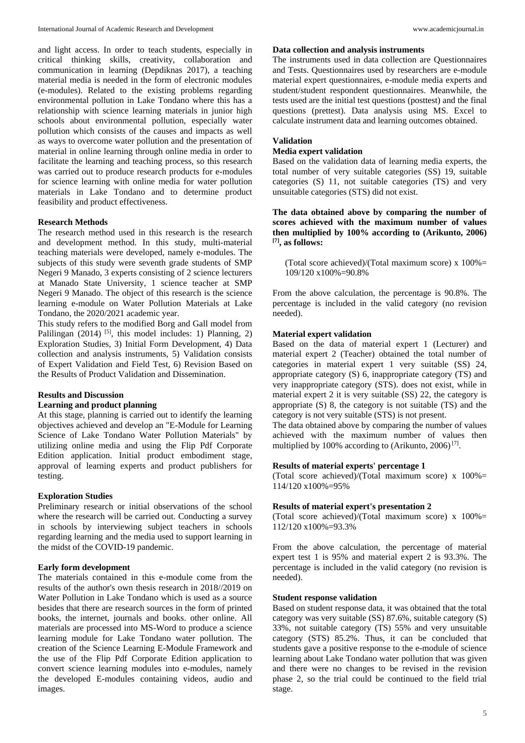and light access. In order to teach students, especially in critical thinking skills, creativity, collaboration and communication in learning (Depdiknas 2017), a teaching material media is needed in the form of electronic modules (e-modules). Related to the existing problems regarding environmental pollution in Lake Tondano where this has a relationship with science learning materials in junior high schools about environmental pollution, especially water pollution which consists of the causes and impacts as well as ways to overcome water pollution and the presentation of material in online learning through online media in order to facilitate the learning and teaching process, so this research was carried out to produce research products for e-modules for science learning with online media for water pollution materials in Lake Tondano and to determine product feasibility and product effectiveness.

# **Research Methods**

The research method used in this research is the research and development method. In this study, multi-material teaching materials were developed, namely e-modules. The subjects of this study were seventh grade students of SMP Negeri 9 Manado, 3 experts consisting of 2 science lecturers at Manado State University, 1 science teacher at SMP Negeri 9 Manado. The object of this research is the science learning e-module on Water Pollution Materials at Lake Tondano, the 2020/2021 academic year.

This study refers to the modified Borg and Gall model from Palilingan  $(2014)$  <sup>[5]</sup>, this model includes: 1) Planning, 2) Exploration Studies, 3) Initial Form Development, 4) Data collection and analysis instruments, 5) Validation consists of Expert Validation and Field Test, 6) Revision Based on the Results of Product Validation and Dissemination.

# **Results and Discussion**

# **Learning and product planning**

At this stage, planning is carried out to identify the learning objectives achieved and develop an "E-Module for Learning Science of Lake Tondano Water Pollution Materials" by utilizing online media and using the Flip Pdf Corporate Edition application. Initial product embodiment stage, approval of learning experts and product publishers for testing.

# **Exploration Studies**

Preliminary research or initial observations of the school where the research will be carried out. Conducting a survey in schools by interviewing subject teachers in schools regarding learning and the media used to support learning in the midst of the COVID-19 pandemic.

# **Early form development**

The materials contained in this e-module come from the results of the author's own thesis research in 2018//2019 on Water Pollution in Lake Tondano which is used as a source besides that there are research sources in the form of printed books, the internet, journals and books. other online. All materials are processed into MS-Word to produce a science learning module for Lake Tondano water pollution. The creation of the Science Learning E-Module Framework and the use of the Flip Pdf Corporate Edition application to convert science learning modules into e-modules, namely the developed E-modules containing videos, audio and images.

## **Data collection and analysis instruments**

The instruments used in data collection are Questionnaires and Tests. Questionnaires used by researchers are e-module material expert questionnaires, e-module media experts and student/student respondent questionnaires. Meanwhile, the tests used are the initial test questions (posttest) and the final questions (prettest). Data analysis using MS. Excel to calculate instrument data and learning outcomes obtained.

# **Validation**

# **Media expert validation**

Based on the validation data of learning media experts, the total number of very suitable categories (SS) 19, suitable categories (S) 11, not suitable categories (TS) and very unsuitable categories (STS) did not exist.

**The data obtained above by comparing the number of scores achieved with the maximum number of values then multiplied by 100% according to (Arikunto, 2006) [7], as follows:**

(Total score achieved)/(Total maximum score) x 100%= 109/120 x100%=90.8%

From the above calculation, the percentage is 90.8%. The percentage is included in the valid category (no revision needed).

#### **Material expert validation**

Based on the data of material expert 1 (Lecturer) and material expert 2 (Teacher) obtained the total number of categories in material expert 1 very suitable (SS) 24, appropriate category (S) 6, inappropriate category (TS) and very inappropriate category (STS). does not exist, while in material expert 2 it is very suitable (SS) 22, the category is appropriate (S) 8, the category is not suitable (TS) and the category is not very suitable (STS) is not present.

The data obtained above by comparing the number of values achieved with the maximum number of values then multiplied by 100% according to (Arikunto, 2006)<sup>[7]</sup>.

# **Results of material experts' percentage 1**

(Total score achieved)/(Total maximum score) x 100%= 114/120 x100%=95%

#### **Results of material expert's presentation 2**

(Total score achieved)/(Total maximum score) x  $100\%$  = 112/120 x100%=93.3%

From the above calculation, the percentage of material expert test 1 is 95% and material expert 2 is 93.3%. The percentage is included in the valid category (no revision is needed).

#### **Student response validation**

Based on student response data, it was obtained that the total category was very suitable (SS) 87.6%, suitable category (S) 33%, not suitable category (TS) 55% and very unsuitable category (STS) 85.2%. Thus, it can be concluded that students gave a positive response to the e-module of science learning about Lake Tondano water pollution that was given and there were no changes to be revised in the revision phase 2, so the trial could be continued to the field trial stage.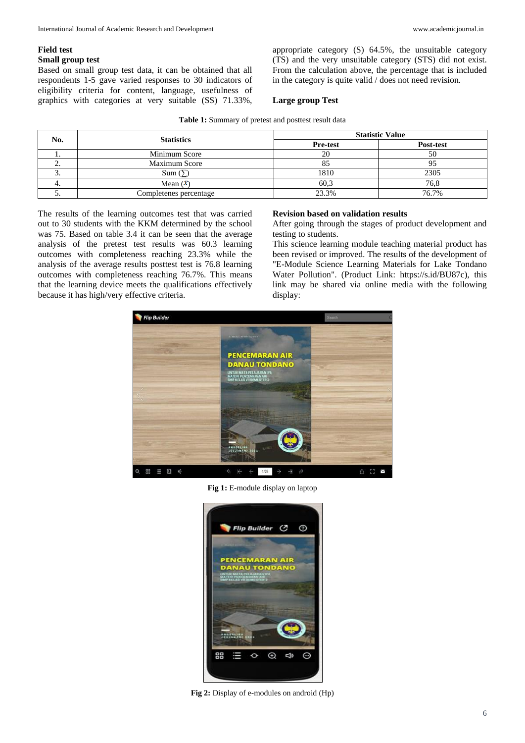#### **Field test Small group test**

Based on small group test data, it can be obtained that all respondents 1-5 gave varied responses to 30 indicators of eligibility criteria for content, language, usefulness of graphics with categories at very suitable (SS) 71.33%, appropriate category (S) 64.5%, the unsuitable category (TS) and the very unsuitable category (STS) did not exist. From the calculation above, the percentage that is included in the category is quite valid / does not need revision.

# **Large group Test**

|  |  |  |  |  | Table 1: Summary of pretest and posttest result data |
|--|--|--|--|--|------------------------------------------------------|
|--|--|--|--|--|------------------------------------------------------|

| No.      | <b>Statistics</b>      | <b>Statistic Value</b> |           |  |  |
|----------|------------------------|------------------------|-----------|--|--|
|          |                        | <b>Pre-test</b>        | Post-test |  |  |
|          | Minimum Score          | 20                     | 50        |  |  |
|          | Maximum Score          | 85                     |           |  |  |
| <u>.</u> | Sum(5)                 | 1810                   | 2305      |  |  |
| ٠.       | Mean $(x)$             | 60,3                   | 76,8      |  |  |
| J.       | Completenes percentage | 23.3%                  | 76.7%     |  |  |

The results of the learning outcomes test that was carried out to 30 students with the KKM determined by the school was 75. Based on table 3.4 it can be seen that the average analysis of the pretest test results was 60.3 learning outcomes with completeness reaching 23.3% while the analysis of the average results posttest test is 76.8 learning outcomes with completeness reaching 76.7%. This means that the learning device meets the qualifications effectively because it has high/very effective criteria.

# **Revision based on validation results**

After going through the stages of product development and testing to students.

This science learning module teaching material product has been revised or improved. The results of the development of "E-Module Science Learning Materials for Lake Tondano Water Pollution". (Product Link: https://s.id/BU87c), this link may be shared via online media with the following display:



**Fig 1:** E-module display on laptop



**Fig 2:** Display of e-modules on android (Hp)